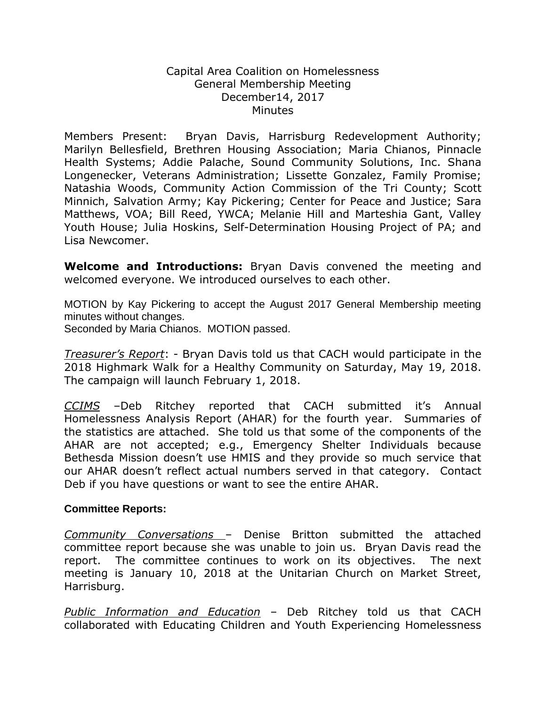## Capital Area Coalition on Homelessness General Membership Meeting December14, 2017 **Minutes**

Members Present: Bryan Davis, Harrisburg Redevelopment Authority; Marilyn Bellesfield, Brethren Housing Association; Maria Chianos, Pinnacle Health Systems; Addie Palache, Sound Community Solutions, Inc. Shana Longenecker, Veterans Administration; Lissette Gonzalez, Family Promise; Natashia Woods, Community Action Commission of the Tri County; Scott Minnich, Salvation Army; Kay Pickering; Center for Peace and Justice; Sara Matthews, VOA; Bill Reed, YWCA; Melanie Hill and Marteshia Gant, Valley Youth House; Julia Hoskins, Self-Determination Housing Project of PA; and Lisa Newcomer.

**Welcome and Introductions:** Bryan Davis convened the meeting and welcomed everyone. We introduced ourselves to each other.

MOTION by Kay Pickering to accept the August 2017 General Membership meeting minutes without changes.

Seconded by Maria Chianos. MOTION passed.

*Treasurer's Report*: - Bryan Davis told us that CACH would participate in the 2018 Highmark Walk for a Healthy Community on Saturday, May 19, 2018. The campaign will launch February 1, 2018.

*CCIMS* –Deb Ritchey reported that CACH submitted it's Annual Homelessness Analysis Report (AHAR) for the fourth year. Summaries of the statistics are attached. She told us that some of the components of the AHAR are not accepted; e.g., Emergency Shelter Individuals because Bethesda Mission doesn't use HMIS and they provide so much service that our AHAR doesn't reflect actual numbers served in that category. Contact Deb if you have questions or want to see the entire AHAR.

## **Committee Reports:**

*Community Conversations* – Denise Britton submitted the attached committee report because she was unable to join us. Bryan Davis read the report. The committee continues to work on its objectives. The next meeting is January 10, 2018 at the Unitarian Church on Market Street, Harrisburg.

*Public Information and Education* – Deb Ritchey told us that CACH collaborated with Educating Children and Youth Experiencing Homelessness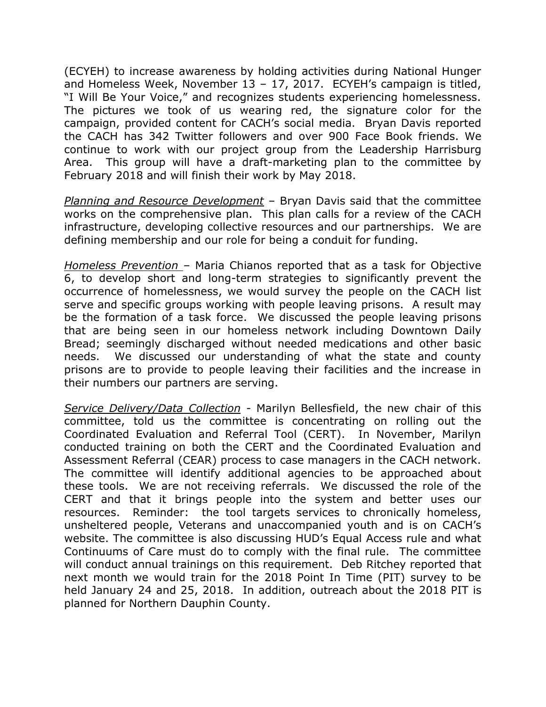(ECYEH) to increase awareness by holding activities during National Hunger and Homeless Week, November 13 – 17, 2017. ECYEH's campaign is titled, "I Will Be Your Voice," and recognizes students experiencing homelessness. The pictures we took of us wearing red, the signature color for the campaign, provided content for CACH's social media. Bryan Davis reported the CACH has 342 Twitter followers and over 900 Face Book friends. We continue to work with our project group from the Leadership Harrisburg Area. This group will have a draft-marketing plan to the committee by February 2018 and will finish their work by May 2018.

*Planning and Resource Development* – Bryan Davis said that the committee works on the comprehensive plan. This plan calls for a review of the CACH infrastructure, developing collective resources and our partnerships. We are defining membership and our role for being a conduit for funding.

*Homeless Prevention –* Maria Chianos reported that as a task for Objective 6, to develop short and long-term strategies to significantly prevent the occurrence of homelessness, we would survey the people on the CACH list serve and specific groups working with people leaving prisons. A result may be the formation of a task force. We discussed the people leaving prisons that are being seen in our homeless network including Downtown Daily Bread; seemingly discharged without needed medications and other basic needs. We discussed our understanding of what the state and county prisons are to provide to people leaving their facilities and the increase in their numbers our partners are serving.

*Service Delivery/Data Collection* - Marilyn Bellesfield, the new chair of this committee, told us the committee is concentrating on rolling out the Coordinated Evaluation and Referral Tool (CERT). In November, Marilyn conducted training on both the CERT and the Coordinated Evaluation and Assessment Referral (CEAR) process to case managers in the CACH network. The committee will identify additional agencies to be approached about these tools. We are not receiving referrals. We discussed the role of the CERT and that it brings people into the system and better uses our resources. Reminder: the tool targets services to chronically homeless, unsheltered people, Veterans and unaccompanied youth and is on CACH's website. The committee is also discussing HUD's Equal Access rule and what Continuums of Care must do to comply with the final rule. The committee will conduct annual trainings on this requirement. Deb Ritchey reported that next month we would train for the 2018 Point In Time (PIT) survey to be held January 24 and 25, 2018. In addition, outreach about the 2018 PIT is planned for Northern Dauphin County.